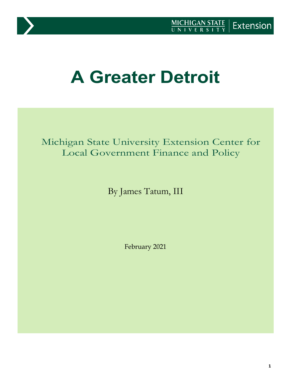

# **A Greater Detroit**

Michigan State University Extension Center for Local Government Finance and Policy

By James Tatum, III

February 2021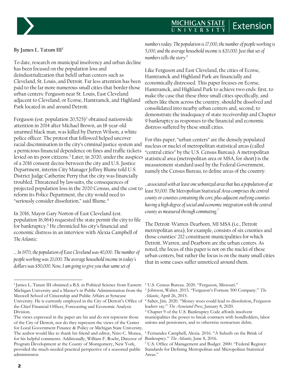# **MICHIGAN STATE**<br>UNIVERSITY Extension



#### **By James L. Tatum III[1](#page-1-0)**

To date, research on municipal insolvency and urban decline has been focused on the population loss and deindustrialization that befell urban centers such as Cleveland, St. Louis, and Detroit. Far less attention has been paid to the far more numerous small cities that border those urban centers: Ferguson near St. Louis, East Cleveland adjacent to Cleveland, or Ecorse, Hamtramck, and Highland Park located in and around Detroit.

Ferguson (est. population [2](#page-1-0)0,525)<sup>2</sup> obtained nationwide attention in 2014 after Michael Brown, an 18-year-old unarmed black man, was killed by Darren Wilson, a white police officer. The protest that followed helped uncover racial discrimination in the city's criminal justice system and a pernicious financial dependence on fines and traffic tickets levied on its poor citizens.[3](#page-1-1) Later, in 2020, under the auspices statistical area (metropolitan area or MSA, for short) is the of a 2016 consent decree between the city and U.S. Justice Department, interim City Manager Jeffrey Blume told U.S. District Judge Catherine Perry that the city was financially troubled. Threatened by lawsuits, the consequences of projected population loss in the 2020 Census, and the cost to reform its Police Department, the city would need to "seriously consider dissolution," said Blume.[4](#page-1-2)

In 2016, Mayor Gary Norton of East Cleveland (est. population 16,964) requested the state permit the city to file for bankruptcy.<sup>[5](#page-1-3)</sup> He chronicled his city's financial and economic distress in an interview with Alexia Campbell of *The Atlantic*:

*… In 1970, the population of East Cleveland was 40,000. The number of people working was 20,000. The average household income in today's dollars was \$50,000. Now, I am going to give you that same set of* 

*numbers today. The population is 17,000, the number of people working is 5,000, and the average household income is \$20,000. Just that set of numbers tells the story.[6](#page-1-4)*

Like Ferguson and East Cleveland, the cities of Ecorse, Hamtramck and Highland Park are financially and economically distressed. This paper focuses on Ecorse, Hamtramck, and Highland Park to achieve two ends: first, to make the case that these three small cities specifically, and others like them across the country, should be dissolved and consolidated into nearby urban centers and, second, to demonstrate the inadequacy of state receivership and Chapter 9 bankruptcy as responses to the financial and economic distress suffered by these small cities.

For this paper, "urban centers" are the densely populated nucleus or nuclei of metropolitan statistical areas (called "central cities" by the U.S. Census Bureau). A metropolitan measurement standard used by the Federal Government, namely the Census Bureau, to define areas of the country:

*…associated with at least one urbanized area that has a population of at least 50,000. The Metropolitan Statistical Area comprises the central county or counties containing the core, plus adjacent outlying counties having a high degree of social and economic integration with the central county as measured through commuting.[7](#page-1-5)*

The Detroit-Warren-Dearborn, MI MSA (i.e., Detroit metropolitan area), for example, consists of six counties and those counties' 212 constituent municipalities for which Detroit, Warren, and Dearborn are the urban centers. As noted, the focus of this paper is not on the nuclei of these urban centers, but rather the focus is on the many small cities that in some cases suffer unnoticed around them.

<span id="page-1-2"></span><span id="page-1-1"></span><span id="page-1-0"></span><sup>&</sup>lt;sup>1</sup> James L. Tatum III obtained a B.S. in Political Science from Eastern <sup>2</sup> U.S. Census Bureau. 2020. "Ferguson, Missouri." Michigan University and a Master's in Public Administration from the <sup>3</sup> Johnson, Walter. 2015. "Ferguson's Fortune 500 Company." *The*  Maxwell School of Citizenship and Public Affairs at Syracuse University. He is currently employed in the City of Detroit's Office of <sup>4</sup> Salter, Jim. 2020. "Money woes could lead to dissolution, Ferguson the Chief Financial Officer, Forecasting and Economic Analysis Division.

<span id="page-1-5"></span><span id="page-1-4"></span><span id="page-1-3"></span>The views expressed in the paper are his and do not represent those of the City of Detroit, nor do they represent the views of the Center for Local Government Finance & Policy or Michigan State University. The author would like to thank his friend and editor, Nino C. Monea, for his helpful comments. Additionally, William F. Roehr, Director of Program Development at the County of Montgomery, New York, provided the much-needed practical perspective of a seasoned public administrator.

*Atlantic*, April 26, 2015.

leaders say." *The Associated Press*, January 8, 2020.

<sup>5</sup> Chapter 9 of the U.S. Bankruptcy Code affords insolvent municipalities the power to break contracts with bondholders, labor unions and pensioners, and to otherwise restructure debts.

<sup>6</sup> Fernandez Campbell, Alexia. 2016. "A Suburb on the Brink of Bankruptcy." *The Atlantic*, June 8, 2016.

<sup>7</sup> U.S. Office of Management and Budget. 2000. "Federal Register: Standards for Defining Metropolitan and Micropolitan Statistical Areas."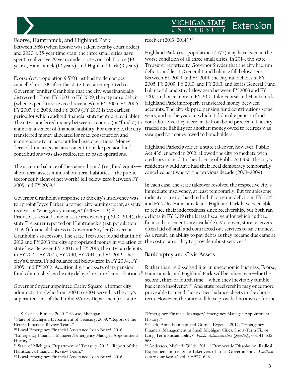## MICHIGAN STATE Extension



# **Ecorse, Hamtramck, and Highland Park**

Between 1986 (when Ecorse was taken over by court order) and 2020, a 35-year time span, the three small cities have spent a collective 29 years under state control: Ecorse (10 years), Hamtramck (10 years), and Highland Park (9 years).

Ecorse (est. population 9,570) last had its democracy cancelled in 2009 after the state Treasurer reported to Governor Jennifer Granholm that the city was financially distressed.[8](#page-2-0) From FY 2003 to FY 2009, the city ran a deficit (when expenditures exceed revenues) in FY 2005, FY 2006, FY 2007, FY 2008, and FY 2009 (FY 2003 is the earliest period for which audited financial statements are available). The city transferred money between accounts (or "funds") to maintain a veneer of financial stability. For example, the city transferred money allocated for road construction and maintenance to an account for basic operations. Money derived from a special assessment to make pension fund contributions was also redirected to basic operations.

The account balance of the General Fund (i.e., fund equity short-term assets minus short-term liabilities—the public sector equivalent of net worth) fell below zero between FY 2005 and FY 200[9](#page-2-1).<sup>9</sup>

Governor Granholm's response to the city's insolvency was to appoint Joyce Parker, a former city administrator, as state receiver or "emergency manager" (2009-2013).<sup>[10](#page-2-2)</sup> Prior to its second time in state receivership (2013–2014), the deficits in FY 2019 (the latest fiscal year for which audited state Treasurer reported on Hamtramck's (est. population 21,599) financial distress to Governor Snyder (Governor Granholm's successor). The state Treasurer found that in FY 2012 and FY 20[13](#page-2-5) the city appropriated money in violation of the cost of an ability to provide robust services.<sup>13</sup> state law. Between FY 2003 and FY 2013, the city ran deficits in FY 2004, FY 2005, FY 2010, FY 2011, and FY 2012. The city's General Fund balance fell below zero in FY 2004, FY 2005, and FY 2012. Additionally, the assets of its pension funds diminished as the city delayed required contributions.<sup>[11](#page-2-3)</sup> Hamtramck, and Highland Park will be taken over—for the

Governor Snyder appointed Cathy Square, a former city administrator (who from 2003 to 2004 served as the city's superintendent of the Public Works Department) as state receiver (2013–2014).[12](#page-2-4)

Highland Park (est. population 10,775) may have been in the worst condition of all three small cities. In 2014, the state Treasurer reported to Governor Snyder that the city had run deficits and let its General Fund balance fall below zero. Between FY 2004 and FY 2014, the city ran deficits in FY 2005, FY 2009, FY 2010, and FY 2013, and let its General Fund balance fall and stay below zero between FY 2003 and FY 2007, and once more in FY 2010. Like Ecorse and Hamtramck, Highland Park improperly transferred money between accounts. The city skipped pension fund contributions some years, and in the years in which it did make pension fund contributions, they were made from bond proceeds. The city traded one liability for another: money owed to retirees was swapped for money owed to bondholders.

Highland Parked avoided a state takeover, however. Public Act 436, enacted in 2012, allowed the city to mediate with creditors instead. In the absence of Public Act 436, the city's residents would have had their local democracy temporarily cancelled as it was for the previous decade (2001–2009).

In each case, the state takeover resolved the respective city's immediate insolvency, at least temporarily. But troublesome indicators are not hard to find. Ecorse ran deficits in FY 2015 and FY 2016. Hamtramck and Highland Park have been able to reduce their indebtedness since receivership, but both ran financial statements are available). Moreover, state receivers often laid off staff and contracted out services to save money. As a result, an ability to pay debts as they became due came at

#### **Bankruptcy and Civic Assets**

Rather than be dissolved like an uneconomic business, Ecorse, second, third or fourth time—when they inevitably tumble back into insolvency.[14](#page-2-3) And state receivership may once more prove able to mend those cities' balance sheets in the shortterm. However, the state will have provided no answer for the

<span id="page-2-0"></span><sup>8</sup> U.S. Census Bureau. 2020. "Ecorse, Michigan."

<span id="page-2-5"></span><span id="page-2-1"></span><sup>9</sup> State of Michigan, Department of Treasury. 2009. "Report of the Ecorse Financial Review Team."

<span id="page-2-2"></span><sup>10</sup> Local Emergency Financial Assistance Loan Board. 2016.

<sup>&</sup>quot;Emergency Financial Manager/Emergency Manager Appointment History."

<span id="page-2-3"></span><sup>11</sup> State of Michigan, Department of Treasury. 2013. "Report of the Hamtramck Financial Review Team."

<span id="page-2-4"></span><sup>12</sup> Local Emergency Financial Assistance Loan Board. 2016.

<sup>&</sup>quot;Emergency Financial Manager/Emergency Manager Appointment History."

<sup>&</sup>lt;sup>13</sup> Clark, Anna Fountain and Gorina, Evgenia. 2017. "Emergency Financial Management in Small Michigan Cities: Short-Term Fix or Long-Term Sustainability?" *Public Administration Quarterly*, vol. 41: 532– 568.

<sup>14</sup> Anderson, Michelle Wilde. 2011. "Democratic Dissolution: Radical Experimentation in State Takeovers of Local Governments." *Fordham Urban Law Journal*, vol. 39: 577–623.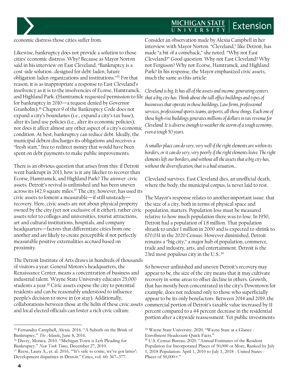## **MICHIGAN STATE**<br>UNIVERSITY Extension

economic distress those cities suffer from.

Likewise, bankruptcy does not provide a solution to those cities' economic distress. Why? Because as Mayor Norton said in his interview on East Cleveland, "Bankruptcy is a cost-side solution…designed for debt-laden, future obligation-laden organizations and institutions."[15](#page-3-0) For that reason, it is as inappropriate a response to East Cleveland's insolvency as it is to the insolvencies of Ecorse, Hamtramck, and Highland Park. (Hamtramck requested permission to file *that a big city has. Think about the tall office buildings and types of*  for bankruptcy in 2010—a request denied by Governor Granholm).[16](#page-3-1) Chapter 9 of the Bankruptcy Code does not expand a city's boundaries (i.e., expand a city's tax base), alter its land use policies (i.e., alter its economic policies), nor does it affect almost any other aspect of a city's economic condition. At best, bankruptcy can reduce debt. Ideally, the municipal debtor discharges its obligations and receives a "fresh start," free to redirect money that would have been spent on debt payments to make public improvements.

There is an obvious question that arises from this: if Detroit went bankrupt in 2013, how is it any likelier to recover than Ecorse, Hamtramck, and Highland Park? The answer: civic assets. Detroit's revival is unfinished and has been uneven across its 142.9 square miles.[17](#page-3-2) The city, however, has used its civic assets to foment a measurable—if still unsteady recovery. Here, civic assets are not about physical property owned by the city (yet not exclusive of it either), rather civic assets refer to colleges and universities, tourist attractions, art and cultural institutions, hospitals, and company headquarters—factors that differentiate cities from one another and are likely to create perceptible if not perfectly measurable positive externalities accrued based on proximity.

The Detroit Institute of Arts draws in hundreds of thousands of visitors a year. General Motors's headquarters, the Renaissance Center, means a concentration of business and industrial talent. Wayne State University educates 25,000 students a year.<sup>[18](#page-3-0)</sup> Civic assets expose the city to potential residents and can be reasonably understood to influence people's decision to move in (or stay). Additionally, collaborations between those at the helm of these civic assets and local elected officials can foster a rich civic culture.

Consider an observation made by Alexia Campbell in her interview with Mayor Norton. "Cleveland," like Detroit, has made "a bit of a comeback," she noted. "Why not East Cleveland?" Good question. Why not East Cleveland? Why not Ferguson? Why not Ecorse, Hamtramck, and Highland Park? In his response, the Mayor emphasized civic assets, much the same as this article:

*Cleveland is big. It has all of the assets and income-generating centers businesses that operate in those buildings. Law firms, professional services, professional sports teams, airports, all those things. Each one of those high‑rise buildings generates millions of dollars in tax revenue for Cleveland. It is diverse enough to weather the storm of a tough economy, even a tough 50 years.*

*A smaller place can do very, very well if the right elements are within its borders, or it can do very, very poorly if the right elements leave. The right elements left our borders, and without all the assets that a big city has, without the diversification, that is a bad situation…*

Cleveland survives. East Cleveland dies, an unofficial death, where the body, the municipal corpus, is never laid to rest.

The Mayor's response relates to another important issue: that the size of a city, both in terms of physical space and population, matters. Population loss must be measured relative to how much population there was to lose. In 1950, Detroit had a population of 1.8 million. That population shrank to under 1 million in 2000 and is expected to shrink to 670,031 in the 2020 Census. However diminished, Detroit remains a "big city," a major hub of population, commerce, trade and industry, arts, and entertainment. Detroit is the 23rd most populous city in the U.S..<sup>[19](#page-3-1)</sup>

So however unfinished and uneven Detroit's recovery may appear to be, the size of the city means that it may cultivate recovery in some areas to offset decline in others. Growth, that has mostly been concentrated in the city's Downtown for example, does not redound only to those who superficially appear to be its only benefactors. Between 2014 and 2019, the commercial portion of Detroit's taxable value increased by 11 percent compared to a 44 percent decrease in the residential portion after a citywide reassessment. Yet public investments

<span id="page-3-0"></span><sup>15</sup> Fernandez Campbell, Alexia. 2016. "A Suburb on the Brink of Bankruptcy." *The Atlantic*, June 8, 2016.

<span id="page-3-1"></span><sup>16</sup> Davey, Monica. 2010. "Michigan Town is Left Pleading for Bankruptcy." *New York Times*, December 27, 2010.

<span id="page-3-2"></span><sup>&</sup>lt;sup>17</sup> Reese, Laura A., et. al. 2016. "It's safe to come, we've got lattes': Development disparities in Detroit." Cities, vol. 60: 367–377.

<sup>18</sup> Wayne State University. 2020. "Wayne State at a Glance - Enrollment Headcount Quick Facts."

<sup>19</sup> U.S. Census Bureau. 2020. "Annual Estimates of the Resident Population for Incorporated Places of 50,000 or More, Ranked by July 1, 2018 Population: April 1, 2010 to July 1, 2018 - United States - Places of 50,000+."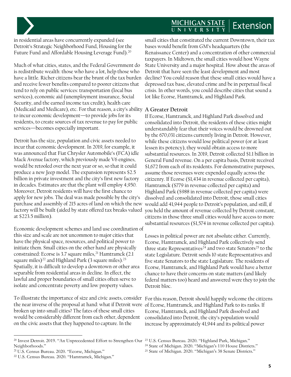## MICHIGAN STATE Extension

in residential areas have concurrently expanded (see Detroit's Strategic Neighborhood Fund, Housing for the Future Fund and Affordable Housing Leverage Fund).<sup>[20](#page-4-0)</sup>

Much of what cities, states, and the Federal Government do is redistribute wealth: those who have a lot, help those who have a little. Richer citizens bear the brunt of the tax burden and receive fewer benefits compared to poorer citizens that tend to rely on public services: transportation (local bus services), economic aid (unemployment insurance, Social Security, and the earned income tax credit), health care (Medicaid and Medicare), etc. For that reason, a city's ability **A Greater Detroit** to incur economic development—to provide jobs for its residents, to create sources of tax revenue to pay for public services—becomes especially important.

Detroit has the size, population and civic assets needed to incur that economic development. In 2019, for example, it was announced that Fiat Chrysler Automobile's (FCA) idle Mack Avenue factory, which previously made V6 engines, would be retooled over the next year or so, so that it could produce a new Jeep model. The expansion represents \$2.5 billion in private investment and the city's first new factory in decades. Estimates are that the plant will employ 4,950. Moreover, Detroit residents will have the first chance to apply for new jobs. The deal was made possible by the city's purchase and assembly of 215 acres of land on which the new factory will be built (aided by state offered tax breaks valued at \$223.5 million).

Economic development schemes and land use coordination of this size and scale are not uncommon to major cities that have the physical space, resources, and political power to initiate them. Small cities on the other hand are physically constrained: Ecorse is 3.7 square miles,<sup>[21](#page-4-1)</sup> Hamtramck (2.1) square miles)<sup>[22](#page-4-2)</sup> and Highland Park (3 square miles).<sup>[23](#page-4-0)</sup> Spatially, it is difficult to develop a downtown or other area separable from residential areas in decline. In effect, the lawful and proper boundaries of small cities often serve to isolate and concentrate poverty and low property values.

To illustrate the importance of size and civic assets, consider For this reason, Detroit should happily welcome the citizens the near inverse of the proposal at hand: what if Detroit were of Ecorse, Hamtramck, and Highland Park to its ranks. If broken up into small cities? The fates of these small cities would be considerably different from each other, dependent on the civic assets that they happened to capture. In the

small cities that constituted the current Downtown, their tax bases would benefit from GM's headquarters (the Renaissance Center) and a concentration of other commercial taxpayers. In Midtown, the small cities would host Wayne State University and a major hospital. How about the areas of Detroit that have seen the least development and most decline? You could reason that these small cities would have a depressed tax base, elevated crime and be in perpetual fiscal crisis. In other words, you could describe cities that sound a lot like Ecorse, Hamtramck, and Highland Park.

If Ecorse, Hamtramck, and Highland Park dissolved and consolidated into Detroit, the residents of these cities might understandably fear that their voices would be drowned out by the 670,031 citizens currently living in Detroit. However, while these citizens would lose political power (or at least lessen its potency), they would obtain access to more substantial resources. In 2019, Detroit collected \$1.1 billion in General Fund revenue. On a per capita basis, Detroit received \$1,672 from each of its residents. For demonstrative purposes, assume those revenues were expended equally across the citizenry. If Ecorse (\$1,434 in revenue collected per capita), Hamtramck (\$779 in revenue collected per capita) and Highland Park (\$988 in revenue collected per capita) were dissolved and consolidated into Detroit, those small cities would add 41,944 people to Detroit's population, and still, if you held the amount of revenue collected by Detroit constant, citizens in those three small cities would have access to more substantial resources (\$1,574 in revenue collected per capita).

Losses in political power are not absolute either. Currently, Ecorse, Hamtramck, and Highland Park collectively send three state Representatives<sup>[24](#page-4-3)</sup> and two state Senators<sup>25</sup> to the state Legislature. Detroit sends 10 state Representatives and five state Senators to the state Legislature. The residents of Ecorse, Hamtramck, and Highland Park would have a better chance to have their concerns on state matters (and likely federal matters too) heard and answered were they to join the Detroit bloc.

Ecorse, Hamtramck, and Highland Park dissolved and consolidated into Detroit, the city's population would increase by approximately 41,944 and its political power

<span id="page-4-3"></span><span id="page-4-0"></span><sup>20</sup> Invest Detroit. 2019. "An Unprecedented Effort to Strengthen Our <sup>23</sup> U.S. Census Bureau. 2020. "Highland Park, Michigan." Neighborhoods."

<span id="page-4-1"></span><sup>21</sup> U.S. Census Bureau. 2020. "Ecorse, Michigan."

<span id="page-4-2"></span><sup>22</sup> U.S. Census Bureau. 2020. "Hamtramck, Michigan."

<sup>24</sup> State of Michigan. 2020. "Michigan's 110 House Districts."

<sup>25</sup> State of Michigan. 2020. "Michigan's 38 Senate Districts."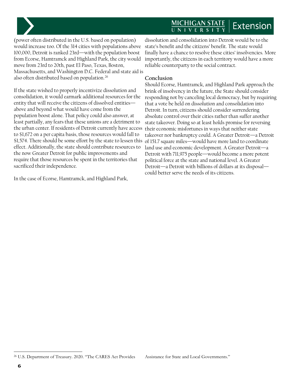#### MICHIGAN STATE Extension



(power often distributed in the U.S. based on population) would increase too. Of the 314 cities with populations above 100,000, Detroit is ranked 23rd—with the population boost from Ecorse, Hamtramck and Highland Park, the city would move from 23rd to 20th, past El Paso, Texas, Boston, Massachusetts, and Washington D.C. Federal and state aid is also often distributed based on population[.26](#page-5-0)

If the state wished to properly incentivize dissolution and consolidation, it would earmark additional resources for the entity that will receive the citizens of dissolved entities above and beyond what would have come from the population boost alone. That policy could also answer, at least partially, any fears that these unions are a detriment to the urban center. If residents of Detroit currently have access to \$1,672 on a per capita basis, those resources would fall to \$1,574. There should be some effort by the state to lessen this effect. Additionally, the state should contribute resources to the now Greater Detroit for public improvements and require that those resources be spent in the territories that sacrificed their independence.

In the case of Ecorse, Hamtramck, and Highland Park,

dissolution and consolidation into Detroit would be to the state's benefit and the citizens' benefit. The state would finally have a chance to resolve these cities' insolvencies. More importantly, the citizens in each territory would have a more reliable counterparty to the social contract.

#### **Conclusion**

Should Ecorse, Hamtramck, and Highland Park approach the brink of insolvency in the future, the State should consider responding not by canceling local democracy, but by requiring that a vote be held on dissolution and consolidation into Detroit. In turn, citizens should consider surrendering absolute control over their cities rather than suffer another state takeover. Doing so at least holds promise for reversing their economic misfortunes in ways that neither state takeover nor bankruptcy could. A Greater Detroit—a Detroit of 151.7 square miles—would have more land to coordinate land use and economic development. A Greater Detroit—a Detroit with 711,975 people—would become a more potent political force at the state and national level. A Greater Detroit—a Detroit with billions of dollars at its disposal could better serve the needs of its citizens.

<span id="page-5-0"></span><sup>&</sup>lt;sup>26</sup> U.S. Department of Treasury. 2020. "The CARES Act Provides Assistance for State and Local Governments."